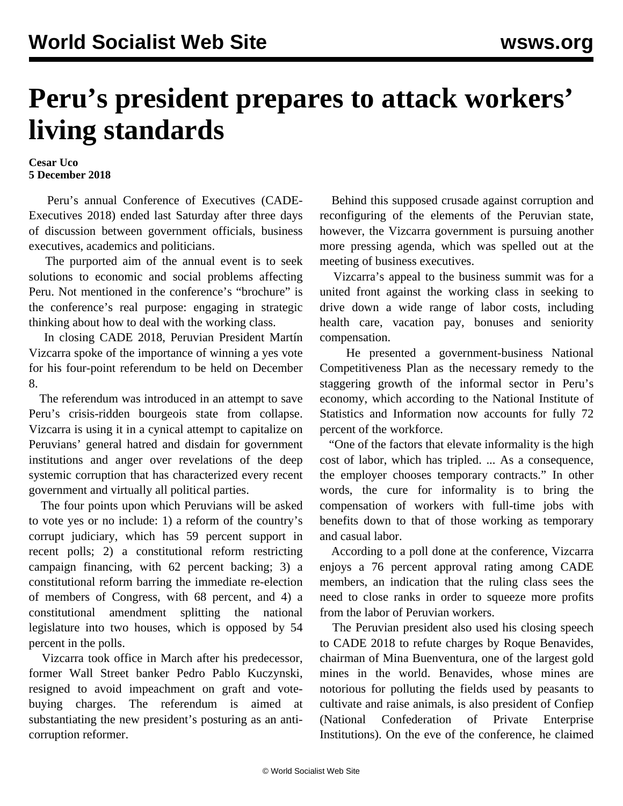## **Peru's president prepares to attack workers' living standards**

## **Cesar Uco 5 December 2018**

 Peru's annual Conference of Executives (CADE-Executives 2018) ended last Saturday after three days of discussion between government officials, business executives, academics and politicians.

 The purported aim of the annual event is to seek solutions to economic and social problems affecting Peru. Not mentioned in the conference's "brochure" is the conference's real purpose: engaging in strategic thinking about how to deal with the working class.

 In closing CADE 2018, Peruvian President Martín Vizcarra spoke of the importance of winning a yes vote for his four-point referendum to be held on December 8.

 The referendum was introduced in an attempt to save Peru's crisis-ridden bourgeois state from collapse. Vizcarra is using it in a cynical attempt to capitalize on Peruvians' general hatred and disdain for government institutions and anger over revelations of the deep systemic corruption that has characterized every recent government and virtually all political parties.

 The four points upon which Peruvians will be asked to vote yes or no include: 1) a reform of the country's corrupt judiciary, which has 59 percent support in recent polls; 2) a constitutional reform restricting campaign financing, with 62 percent backing; 3) a constitutional reform barring the immediate re-election of members of Congress, with 68 percent, and 4) a constitutional amendment splitting the national legislature into two houses, which is opposed by 54 percent in the polls.

 Vizcarra took office in March after his predecessor, former Wall Street banker Pedro Pablo Kuczynski, resigned to avoid impeachment on graft and votebuying charges. The referendum is aimed at substantiating the new president's posturing as an anticorruption reformer.

 Behind this supposed crusade against corruption and reconfiguring of the elements of the Peruvian state, however, the Vizcarra government is pursuing another more pressing agenda, which was spelled out at the meeting of business executives.

 Vizcarra's appeal to the business summit was for a united front against the working class in seeking to drive down a wide range of labor costs, including health care, vacation pay, bonuses and seniority compensation.

 He presented a government-business National Competitiveness Plan as the necessary remedy to the staggering growth of the informal sector in Peru's economy, which according to the National Institute of Statistics and Information now accounts for fully 72 percent of the workforce.

 "One of the factors that elevate informality is the high cost of labor, which has tripled. ... As a consequence, the employer chooses temporary contracts." In other words, the cure for informality is to bring the compensation of workers with full-time jobs with benefits down to that of those working as temporary and casual labor.

 According to a poll done at the conference, Vizcarra enjoys a 76 percent approval rating among CADE members, an indication that the ruling class sees the need to close ranks in order to squeeze more profits from the labor of Peruvian workers.

 The Peruvian president also used his closing speech to CADE 2018 to refute charges by Roque Benavides, chairman of Mina Buenventura, one of the largest gold mines in the world. Benavides, whose mines are notorious for polluting the fields used by peasants to cultivate and raise animals, is also president of Confiep (National Confederation of Private Enterprise Institutions). On the eve of the conference, he claimed